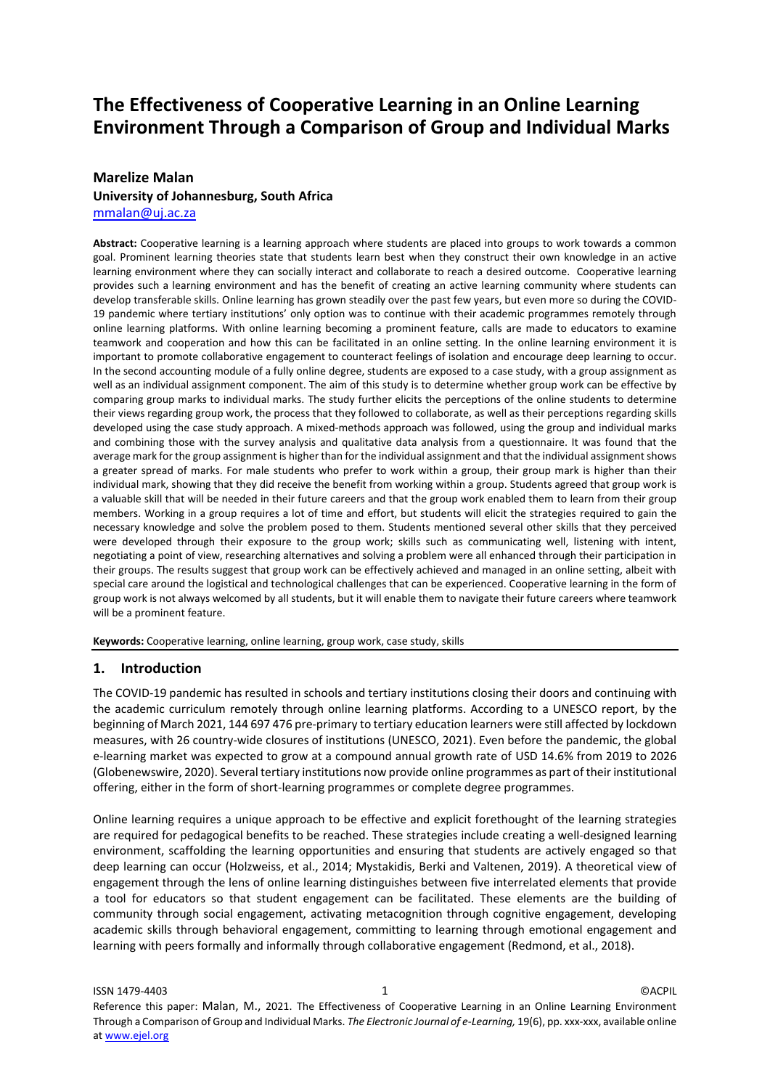# **The Effectiveness of Cooperative Learning in an Online Learning Environment Through a Comparison of Group and Individual Marks**

#### **Marelize Malan**

## **University of Johannesburg, South Africa**

mmalan@uj.ac.za

**Abstract:** Cooperative learning is a learning approach where students are placed into groups to work towards a common goal. Prominent learning theories state that students learn best when they construct their own knowledge in an active learning environment where they can socially interact and collaborate to reach a desired outcome. Cooperative learning provides such a learning environment and has the benefit of creating an active learning community where students can develop transferable skills. Online learning has grown steadily over the past few years, but even more so during the COVID-19 pandemic where tertiary institutions' only option was to continue with their academic programmes remotely through online learning platforms. With online learning becoming a prominent feature, calls are made to educators to examine teamwork and cooperation and how this can be facilitated in an online setting. In the online learning environment it is important to promote collaborative engagement to counteract feelings of isolation and encourage deep learning to occur. In the second accounting module of a fully online degree, students are exposed to a case study, with a group assignment as well as an individual assignment component. The aim of this study is to determine whether group work can be effective by comparing group marks to individual marks. The study further elicits the perceptions of the online students to determine their views regarding group work, the process that they followed to collaborate, as well as their perceptions regarding skills developed using the case study approach. A mixed-methods approach was followed, using the group and individual marks and combining those with the survey analysis and qualitative data analysis from a questionnaire. It was found that the average mark for the group assignment is higher than for the individual assignment and that the individual assignment shows a greater spread of marks. For male students who prefer to work within a group, their group mark is higher than their individual mark, showing that they did receive the benefit from working within a group. Students agreed that group work is a valuable skill that will be needed in their future careers and that the group work enabled them to learn from their group members. Working in a group requires a lot of time and effort, but students will elicit the strategies required to gain the necessary knowledge and solve the problem posed to them. Students mentioned several other skills that they perceived were developed through their exposure to the group work; skills such as communicating well, listening with intent, negotiating a point of view, researching alternatives and solving a problem were all enhanced through their participation in their groups. The results suggest that group work can be effectively achieved and managed in an online setting, albeit with special care around the logistical and technological challenges that can be experienced. Cooperative learning in the form of group work is not always welcomed by all students, but it will enable them to navigate their future careers where teamwork will be a prominent feature.

**Keywords:** Cooperative learning, online learning, group work, case study, skills

#### **1. Introduction**

The COVID-19 pandemic has resulted in schools and tertiary institutions closing their doors and continuing with the academic curriculum remotely through online learning platforms. According to a UNESCO report, by the beginning of March 2021, 144 697 476 pre-primary to tertiary education learners were still affected by lockdown measures, with 26 country-wide closures of institutions (UNESCO, 2021). Even before the pandemic, the global e-learning market was expected to grow at a compound annual growth rate of USD 14.6% from 2019 to 2026 (Globenewswire, 2020). Several tertiary institutions now provide online programmes as part of their institutional offering, either in the form of short-learning programmes or complete degree programmes.

Online learning requires a unique approach to be effective and explicit forethought of the learning strategies are required for pedagogical benefits to be reached. These strategies include creating a well-designed learning environment, scaffolding the learning opportunities and ensuring that students are actively engaged so that deep learning can occur (Holzweiss, et al., 2014; Mystakidis, Berki and Valtenen, 2019). A theoretical view of engagement through the lens of online learning distinguishes between five interrelated elements that provide a tool for educators so that student engagement can be facilitated. These elements are the building of community through social engagement, activating metacognition through cognitive engagement, developing academic skills through behavioral engagement, committing to learning through emotional engagement and learning with peers formally and informally through collaborative engagement (Redmond, et al., 2018).

ISSN 1479-4403 1 ©ACPIL Reference this paper: Malan, M., 2021. The Effectiveness of Cooperative Learning in an Online Learning Environment Through a Comparison of Group and Individual Marks. *The Electronic Journal of e-Learning,* 19(6), pp. xxx-xxx, available online at www.ejel.org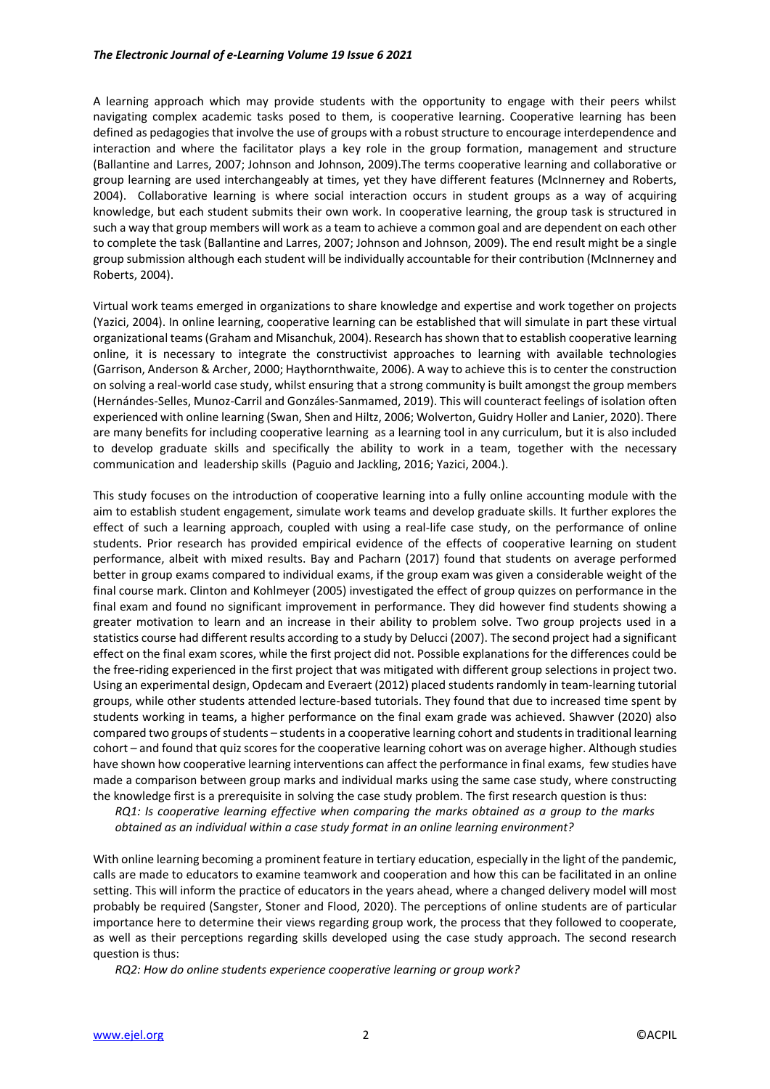A learning approach which may provide students with the opportunity to engage with their peers whilst navigating complex academic tasks posed to them, is cooperative learning. Cooperative learning has been defined as pedagogies that involve the use of groups with a robust structure to encourage interdependence and interaction and where the facilitator plays a key role in the group formation, management and structure (Ballantine and Larres, 2007; Johnson and Johnson, 2009).The terms cooperative learning and collaborative or group learning are used interchangeably at times, yet they have different features (McInnerney and Roberts, 2004). Collaborative learning is where social interaction occurs in student groups as a way of acquiring knowledge, but each student submits their own work. In cooperative learning, the group task is structured in such a way that group members will work as a team to achieve a common goal and are dependent on each other to complete the task (Ballantine and Larres, 2007; Johnson and Johnson, 2009). The end result might be a single group submission although each student will be individually accountable for their contribution (McInnerney and Roberts, 2004).

Virtual work teams emerged in organizations to share knowledge and expertise and work together on projects (Yazici, 2004). In online learning, cooperative learning can be established that will simulate in part these virtual organizational teams(Graham and Misanchuk, 2004). Research has shown that to establish cooperative learning online, it is necessary to integrate the constructivist approaches to learning with available technologies (Garrison, Anderson & Archer, 2000; Haythornthwaite, 2006). A way to achieve this is to center the construction on solving a real-world case study, whilst ensuring that a strong community is built amongst the group members (Hernándes-Selles, Munoz-Carril and Gonzáles-Sanmamed, 2019). This will counteract feelings of isolation often experienced with online learning (Swan, Shen and Hiltz, 2006; Wolverton, Guidry Holler and Lanier, 2020). There are many benefits for including cooperative learning as a learning tool in any curriculum, but it is also included to develop graduate skills and specifically the ability to work in a team, together with the necessary communication and leadership skills (Paguio and Jackling, 2016; Yazici, 2004.).

This study focuses on the introduction of cooperative learning into a fully online accounting module with the aim to establish student engagement, simulate work teams and develop graduate skills. It further explores the effect of such a learning approach, coupled with using a real-life case study, on the performance of online students. Prior research has provided empirical evidence of the effects of cooperative learning on student performance, albeit with mixed results. Bay and Pacharn (2017) found that students on average performed better in group exams compared to individual exams, if the group exam was given a considerable weight of the final course mark. Clinton and Kohlmeyer (2005) investigated the effect of group quizzes on performance in the final exam and found no significant improvement in performance. They did however find students showing a greater motivation to learn and an increase in their ability to problem solve. Two group projects used in a statistics course had different results according to a study by Delucci (2007). The second project had a significant effect on the final exam scores, while the first project did not. Possible explanations for the differences could be the free-riding experienced in the first project that was mitigated with different group selections in project two. Using an experimental design, Opdecam and Everaert (2012) placed students randomly in team-learning tutorial groups, while other students attended lecture-based tutorials. They found that due to increased time spent by students working in teams, a higher performance on the final exam grade was achieved. Shawver (2020) also compared two groups of students – students in a cooperative learning cohort and students in traditional learning cohort – and found that quiz scores for the cooperative learning cohort was on average higher. Although studies have shown how cooperative learning interventions can affect the performance in final exams, few studies have made a comparison between group marks and individual marks using the same case study, where constructing the knowledge first is a prerequisite in solving the case study problem. The first research question is thus:

*RQ1: Is cooperative learning effective when comparing the marks obtained as a group to the marks obtained as an individual within a case study format in an online learning environment?*

With online learning becoming a prominent feature in tertiary education, especially in the light of the pandemic, calls are made to educators to examine teamwork and cooperation and how this can be facilitated in an online setting. This will inform the practice of educators in the years ahead, where a changed delivery model will most probably be required (Sangster, Stoner and Flood, 2020). The perceptions of online students are of particular importance here to determine their views regarding group work, the process that they followed to cooperate, as well as their perceptions regarding skills developed using the case study approach. The second research question is thus:

*RQ2: How do online students experience cooperative learning or group work?*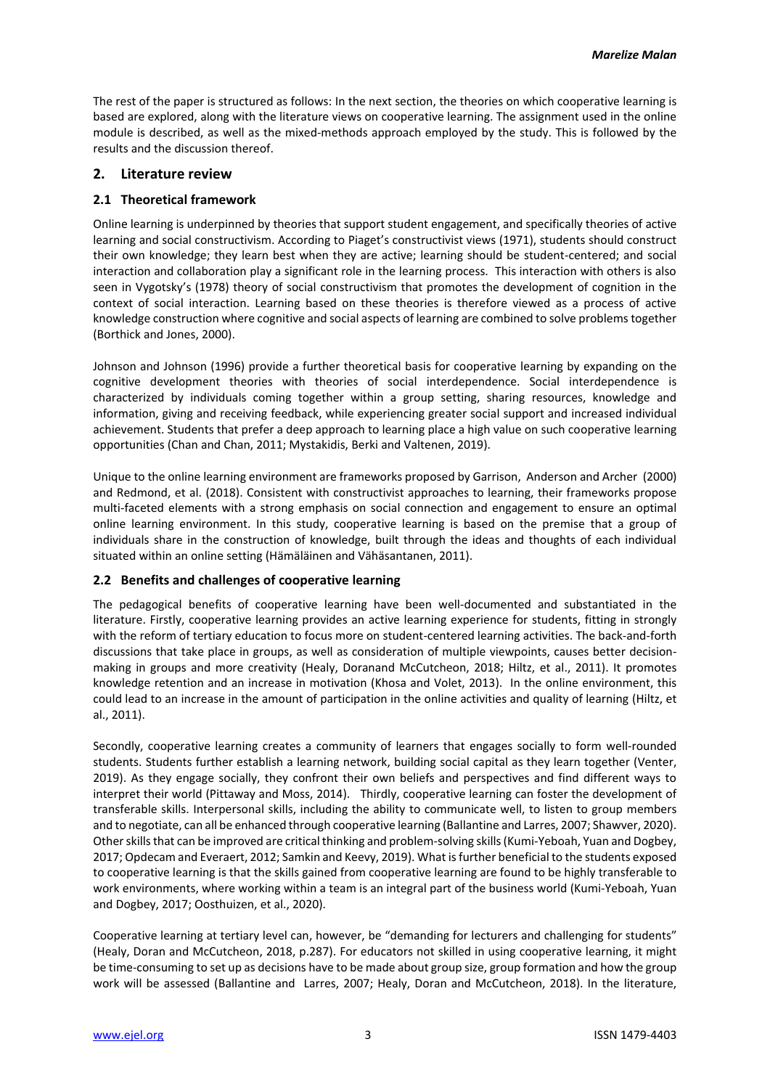The rest of the paper is structured as follows: In the next section, the theories on which cooperative learning is based are explored, along with the literature views on cooperative learning. The assignment used in the online module is described, as well as the mixed-methods approach employed by the study. This is followed by the results and the discussion thereof.

## **2. Literature review**

## **2.1 Theoretical framework**

Online learning is underpinned by theories that support student engagement, and specifically theories of active learning and social constructivism. According to Piaget's constructivist views (1971), students should construct their own knowledge; they learn best when they are active; learning should be student-centered; and social interaction and collaboration play a significant role in the learning process. This interaction with others is also seen in Vygotsky's (1978) theory of social constructivism that promotes the development of cognition in the context of social interaction. Learning based on these theories is therefore viewed as a process of active knowledge construction where cognitive and social aspects of learning are combined to solve problems together (Borthick and Jones, 2000).

Johnson and Johnson (1996) provide a further theoretical basis for cooperative learning by expanding on the cognitive development theories with theories of social interdependence. Social interdependence is characterized by individuals coming together within a group setting, sharing resources, knowledge and information, giving and receiving feedback, while experiencing greater social support and increased individual achievement. Students that prefer a deep approach to learning place a high value on such cooperative learning opportunities (Chan and Chan, 2011; Mystakidis, Berki and Valtenen, 2019).

Unique to the online learning environment are frameworks proposed by Garrison, Anderson and Archer (2000) and Redmond, et al. (2018). Consistent with constructivist approaches to learning, their frameworks propose multi-faceted elements with a strong emphasis on social connection and engagement to ensure an optimal online learning environment. In this study, cooperative learning is based on the premise that a group of individuals share in the construction of knowledge, built through the ideas and thoughts of each individual situated within an online setting (Hämäläinen and Vähäsantanen, 2011).

### **2.2 Benefits and challenges of cooperative learning**

The pedagogical benefits of cooperative learning have been well-documented and substantiated in the literature. Firstly, cooperative learning provides an active learning experience for students, fitting in strongly with the reform of tertiary education to focus more on student-centered learning activities. The back-and-forth discussions that take place in groups, as well as consideration of multiple viewpoints, causes better decisionmaking in groups and more creativity (Healy, Doranand McCutcheon, 2018; Hiltz, et al., 2011). It promotes knowledge retention and an increase in motivation (Khosa and Volet, 2013). In the online environment, this could lead to an increase in the amount of participation in the online activities and quality of learning (Hiltz, et al., 2011).

Secondly, cooperative learning creates a community of learners that engages socially to form well-rounded students. Students further establish a learning network, building social capital as they learn together (Venter, 2019). As they engage socially, they confront their own beliefs and perspectives and find different ways to interpret their world (Pittaway and Moss, 2014). Thirdly, cooperative learning can foster the development of transferable skills. Interpersonal skills, including the ability to communicate well, to listen to group members and to negotiate, can all be enhanced through cooperative learning (Ballantine and Larres, 2007; Shawver, 2020). Other skills that can be improved are critical thinking and problem-solving skills (Kumi-Yeboah, Yuan and Dogbey, 2017; Opdecam and Everaert, 2012; Samkin and Keevy, 2019). What is further beneficial to the students exposed to cooperative learning is that the skills gained from cooperative learning are found to be highly transferable to work environments, where working within a team is an integral part of the business world (Kumi-Yeboah, Yuan and Dogbey, 2017; Oosthuizen, et al., 2020).

Cooperative learning at tertiary level can, however, be "demanding for lecturers and challenging for students" (Healy, Doran and McCutcheon, 2018, p.287). For educators not skilled in using cooperative learning, it might be time-consuming to set up as decisions have to be made about group size, group formation and how the group work will be assessed (Ballantine and Larres, 2007; Healy, Doran and McCutcheon, 2018). In the literature,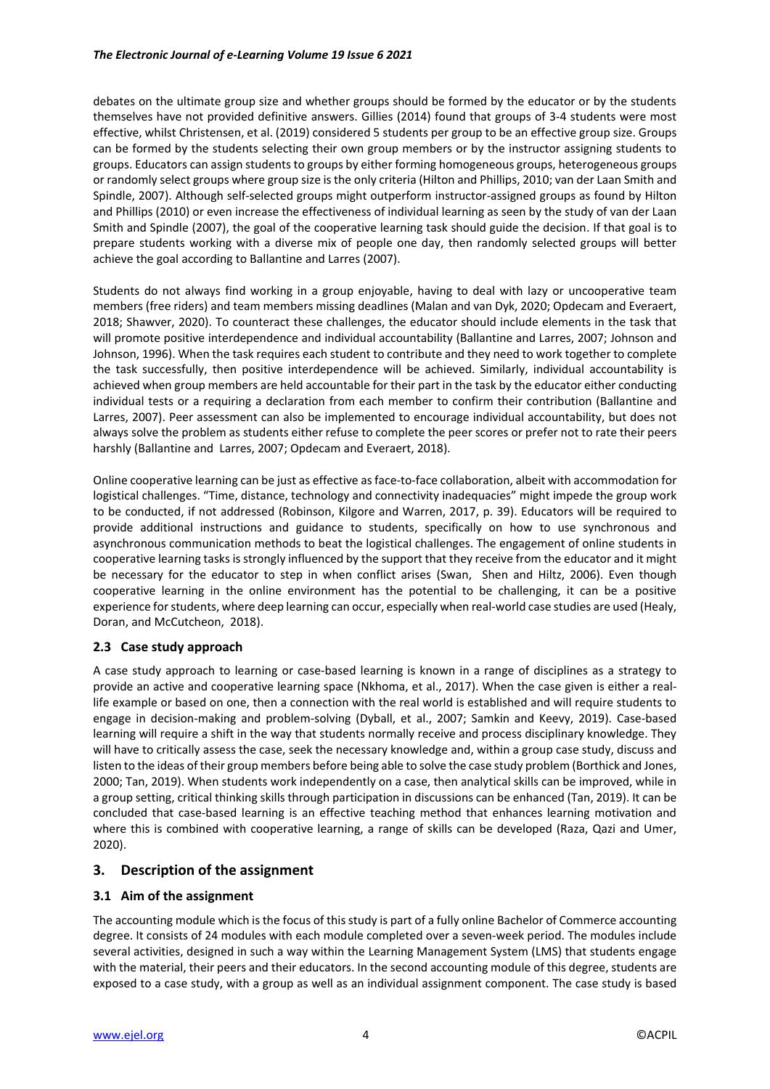debates on the ultimate group size and whether groups should be formed by the educator or by the students themselves have not provided definitive answers. Gillies (2014) found that groups of 3-4 students were most effective, whilst Christensen, et al. (2019) considered 5 students per group to be an effective group size. Groups can be formed by the students selecting their own group members or by the instructor assigning students to groups. Educators can assign students to groups by either forming homogeneous groups, heterogeneous groups or randomly select groups where group size is the only criteria (Hilton and Phillips, 2010; van der Laan Smith and Spindle, 2007). Although self-selected groups might outperform instructor-assigned groups as found by Hilton and Phillips (2010) or even increase the effectiveness of individual learning as seen by the study of van der Laan Smith and Spindle (2007), the goal of the cooperative learning task should guide the decision. If that goal is to prepare students working with a diverse mix of people one day, then randomly selected groups will better achieve the goal according to Ballantine and Larres (2007).

Students do not always find working in a group enjoyable, having to deal with lazy or uncooperative team members (free riders) and team members missing deadlines (Malan and van Dyk, 2020; Opdecam and Everaert, 2018; Shawver, 2020). To counteract these challenges, the educator should include elements in the task that will promote positive interdependence and individual accountability (Ballantine and Larres, 2007; Johnson and Johnson, 1996). When the task requires each student to contribute and they need to work together to complete the task successfully, then positive interdependence will be achieved. Similarly, individual accountability is achieved when group members are held accountable for their part in the task by the educator either conducting individual tests or a requiring a declaration from each member to confirm their contribution (Ballantine and Larres, 2007). Peer assessment can also be implemented to encourage individual accountability, but does not always solve the problem as students either refuse to complete the peer scores or prefer not to rate their peers harshly (Ballantine and Larres, 2007; Opdecam and Everaert, 2018).

Online cooperative learning can be just as effective as face-to-face collaboration, albeit with accommodation for logistical challenges. "Time, distance, technology and connectivity inadequacies" might impede the group work to be conducted, if not addressed (Robinson, Kilgore and Warren, 2017, p. 39). Educators will be required to provide additional instructions and guidance to students, specifically on how to use synchronous and asynchronous communication methods to beat the logistical challenges. The engagement of online students in cooperative learning tasks is strongly influenced by the support that they receive from the educator and it might be necessary for the educator to step in when conflict arises (Swan, Shen and Hiltz, 2006). Even though cooperative learning in the online environment has the potential to be challenging, it can be a positive experience for students, where deep learning can occur, especially when real-world case studies are used (Healy, Doran, and McCutcheon, 2018).

## **2.3 Case study approach**

A case study approach to learning or case-based learning is known in a range of disciplines as a strategy to provide an active and cooperative learning space (Nkhoma, et al., 2017). When the case given is either a reallife example or based on one, then a connection with the real world is established and will require students to engage in decision-making and problem-solving (Dyball, et al., 2007; Samkin and Keevy, 2019). Case-based learning will require a shift in the way that students normally receive and process disciplinary knowledge. They will have to critically assess the case, seek the necessary knowledge and, within a group case study, discuss and listen to the ideas of their group members before being able to solve the case study problem (Borthick and Jones, 2000; Tan, 2019). When students work independently on a case, then analytical skills can be improved, while in a group setting, critical thinking skills through participation in discussions can be enhanced (Tan, 2019). It can be concluded that case-based learning is an effective teaching method that enhances learning motivation and where this is combined with cooperative learning, a range of skills can be developed (Raza, Qazi and Umer, 2020).

## **3. Description of the assignment**

## **3.1 Aim of the assignment**

The accounting module which is the focus of this study is part of a fully online Bachelor of Commerce accounting degree. It consists of 24 modules with each module completed over a seven-week period. The modules include several activities, designed in such a way within the Learning Management System (LMS) that students engage with the material, their peers and their educators. In the second accounting module of this degree, students are exposed to a case study, with a group as well as an individual assignment component. The case study is based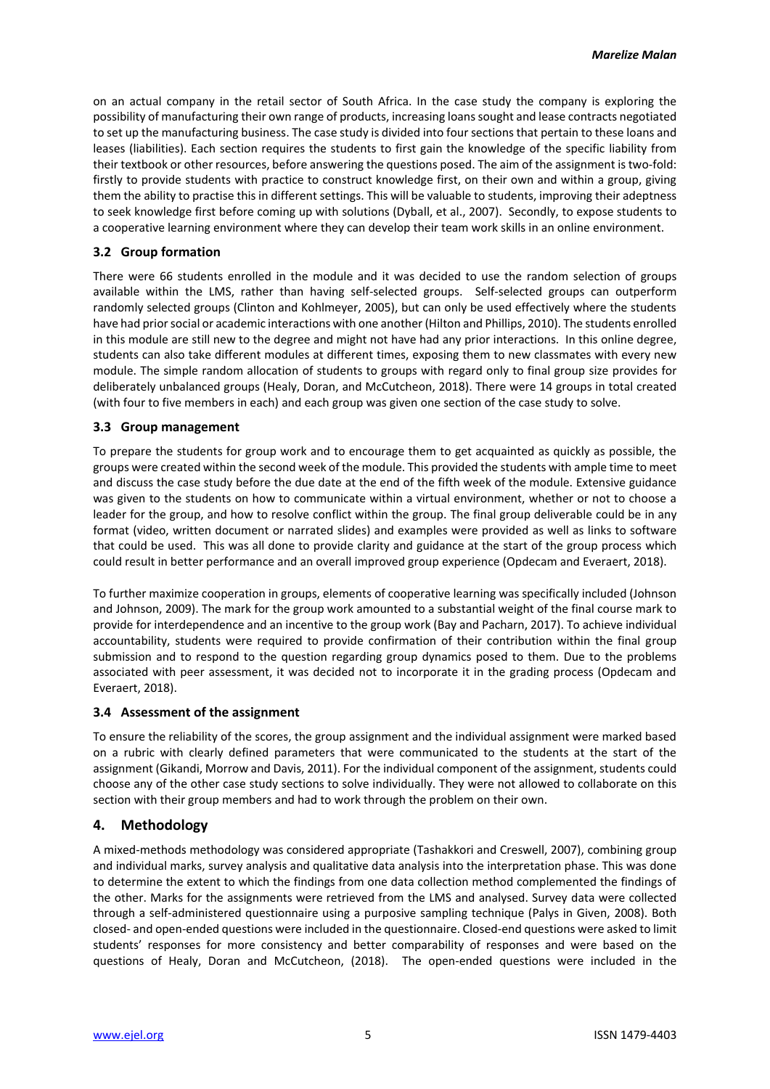on an actual company in the retail sector of South Africa. In the case study the company is exploring the possibility of manufacturing their own range of products, increasing loans sought and lease contracts negotiated to set up the manufacturing business. The case study is divided into four sections that pertain to these loans and leases (liabilities). Each section requires the students to first gain the knowledge of the specific liability from their textbook or other resources, before answering the questions posed. The aim of the assignment is two-fold: firstly to provide students with practice to construct knowledge first, on their own and within a group, giving them the ability to practise this in different settings. This will be valuable to students, improving their adeptness to seek knowledge first before coming up with solutions (Dyball, et al., 2007). Secondly, to expose students to a cooperative learning environment where they can develop their team work skills in an online environment.

## **3.2 Group formation**

There were 66 students enrolled in the module and it was decided to use the random selection of groups available within the LMS, rather than having self-selected groups. Self-selected groups can outperform randomly selected groups (Clinton and Kohlmeyer, 2005), but can only be used effectively where the students have had prior social or academic interactions with one another (Hilton and Phillips, 2010). The students enrolled in this module are still new to the degree and might not have had any prior interactions. In this online degree, students can also take different modules at different times, exposing them to new classmates with every new module. The simple random allocation of students to groups with regard only to final group size provides for deliberately unbalanced groups (Healy, Doran, and McCutcheon, 2018). There were 14 groups in total created (with four to five members in each) and each group was given one section of the case study to solve.

### **3.3 Group management**

To prepare the students for group work and to encourage them to get acquainted as quickly as possible, the groups were created within the second week of the module. This provided the students with ample time to meet and discuss the case study before the due date at the end of the fifth week of the module. Extensive guidance was given to the students on how to communicate within a virtual environment, whether or not to choose a leader for the group, and how to resolve conflict within the group. The final group deliverable could be in any format (video, written document or narrated slides) and examples were provided as well as links to software that could be used. This was all done to provide clarity and guidance at the start of the group process which could result in better performance and an overall improved group experience (Opdecam and Everaert, 2018).

To further maximize cooperation in groups, elements of cooperative learning was specifically included (Johnson and Johnson, 2009). The mark for the group work amounted to a substantial weight of the final course mark to provide for interdependence and an incentive to the group work (Bay and Pacharn, 2017). To achieve individual accountability, students were required to provide confirmation of their contribution within the final group submission and to respond to the question regarding group dynamics posed to them. Due to the problems associated with peer assessment, it was decided not to incorporate it in the grading process (Opdecam and Everaert, 2018).

### **3.4 Assessment of the assignment**

To ensure the reliability of the scores, the group assignment and the individual assignment were marked based on a rubric with clearly defined parameters that were communicated to the students at the start of the assignment (Gikandi, Morrow and Davis, 2011). For the individual component of the assignment, students could choose any of the other case study sections to solve individually. They were not allowed to collaborate on this section with their group members and had to work through the problem on their own.

## **4. Methodology**

A mixed-methods methodology was considered appropriate (Tashakkori and Creswell, 2007), combining group and individual marks, survey analysis and qualitative data analysis into the interpretation phase. This was done to determine the extent to which the findings from one data collection method complemented the findings of the other. Marks for the assignments were retrieved from the LMS and analysed. Survey data were collected through a self-administered questionnaire using a purposive sampling technique (Palys in Given, 2008). Both closed- and open-ended questions were included in the questionnaire. Closed-end questions were asked to limit students' responses for more consistency and better comparability of responses and were based on the questions of Healy, Doran and McCutcheon, (2018). The open-ended questions were included in the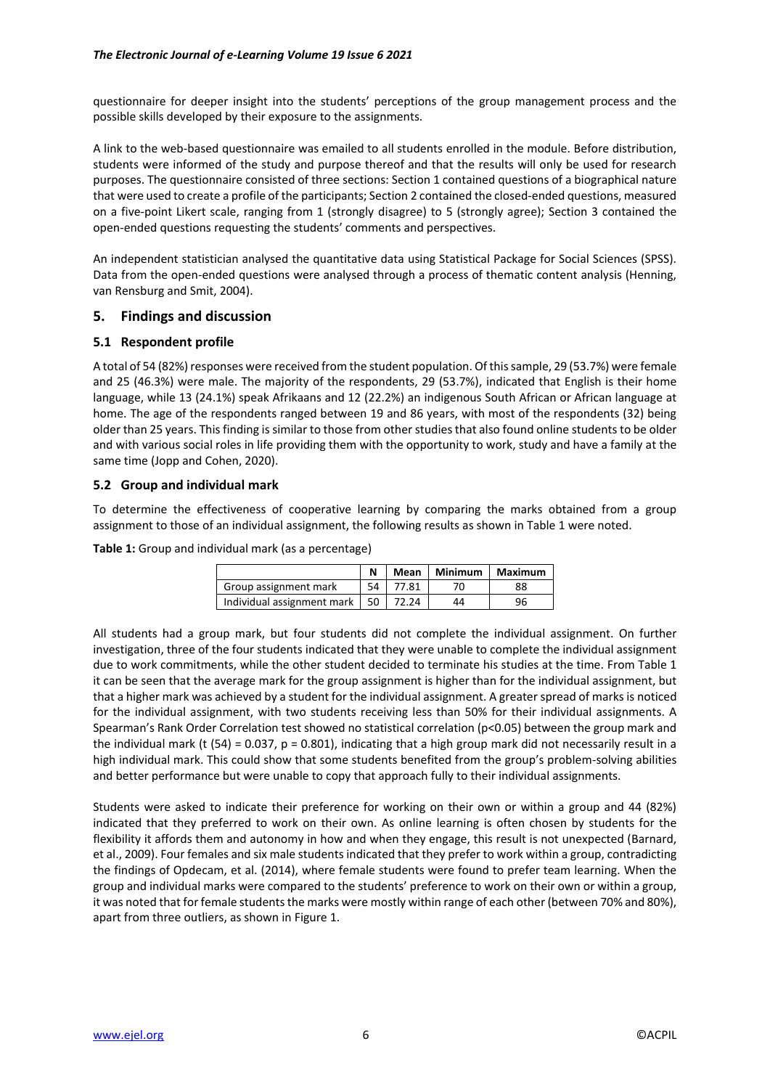questionnaire for deeper insight into the students' perceptions of the group management process and the possible skills developed by their exposure to the assignments.

A link to the web-based questionnaire was emailed to all students enrolled in the module. Before distribution, students were informed of the study and purpose thereof and that the results will only be used for research purposes. The questionnaire consisted of three sections: Section 1 contained questions of a biographical nature that were used to create a profile of the participants; Section 2 contained the closed-ended questions, measured on a five-point Likert scale, ranging from 1 (strongly disagree) to 5 (strongly agree); Section 3 contained the open-ended questions requesting the students' comments and perspectives.

An independent statistician analysed the quantitative data using Statistical Package for Social Sciences (SPSS). Data from the open-ended questions were analysed through a process of thematic content analysis (Henning, van Rensburg and Smit, 2004).

#### **5. Findings and discussion**

#### **5.1 Respondent profile**

A total of 54 (82%) responses were received from the student population. Of this sample, 29 (53.7%) were female and 25 (46.3%) were male. The majority of the respondents, 29 (53.7%), indicated that English is their home language, while 13 (24.1%) speak Afrikaans and 12 (22.2%) an indigenous South African or African language at home. The age of the respondents ranged between 19 and 86 years, with most of the respondents (32) being older than 25 years. This finding is similar to those from other studies that also found online students to be older and with various social roles in life providing them with the opportunity to work, study and have a family at the same time (Jopp and Cohen, 2020).

#### **5.2 Group and individual mark**

To determine the effectiveness of cooperative learning by comparing the marks obtained from a group assignment to those of an individual assignment, the following results as shown in Table 1 were noted.

**Table 1:** Group and individual mark (as a percentage)

|                            | N   | Mean  | <b>Minimum</b> | Maximum |
|----------------------------|-----|-------|----------------|---------|
| Group assignment mark      | 54  | 77.81 |                | 88      |
| Individual assignment mark | -50 | 72.24 | 44             | 96      |

All students had a group mark, but four students did not complete the individual assignment. On further investigation, three of the four students indicated that they were unable to complete the individual assignment due to work commitments, while the other student decided to terminate his studies at the time. From Table 1 it can be seen that the average mark for the group assignment is higher than for the individual assignment, but that a higher mark was achieved by a student for the individual assignment. A greater spread of marks is noticed for the individual assignment, with two students receiving less than 50% for their individual assignments. A Spearman's Rank Order Correlation test showed no statistical correlation (p<0.05) between the group mark and the individual mark (t (54) = 0.037,  $p = 0.801$ ), indicating that a high group mark did not necessarily result in a high individual mark. This could show that some students benefited from the group's problem-solving abilities and better performance but were unable to copy that approach fully to their individual assignments.

Students were asked to indicate their preference for working on their own or within a group and 44 (82%) indicated that they preferred to work on their own. As online learning is often chosen by students for the flexibility it affords them and autonomy in how and when they engage, this result is not unexpected (Barnard, et al., 2009). Four females and six male students indicated that they prefer to work within a group, contradicting the findings of Opdecam, et al. (2014), where female students were found to prefer team learning. When the group and individual marks were compared to the students' preference to work on their own or within a group, it was noted that for female students the marks were mostly within range of each other (between 70% and 80%), apart from three outliers, as shown in Figure 1.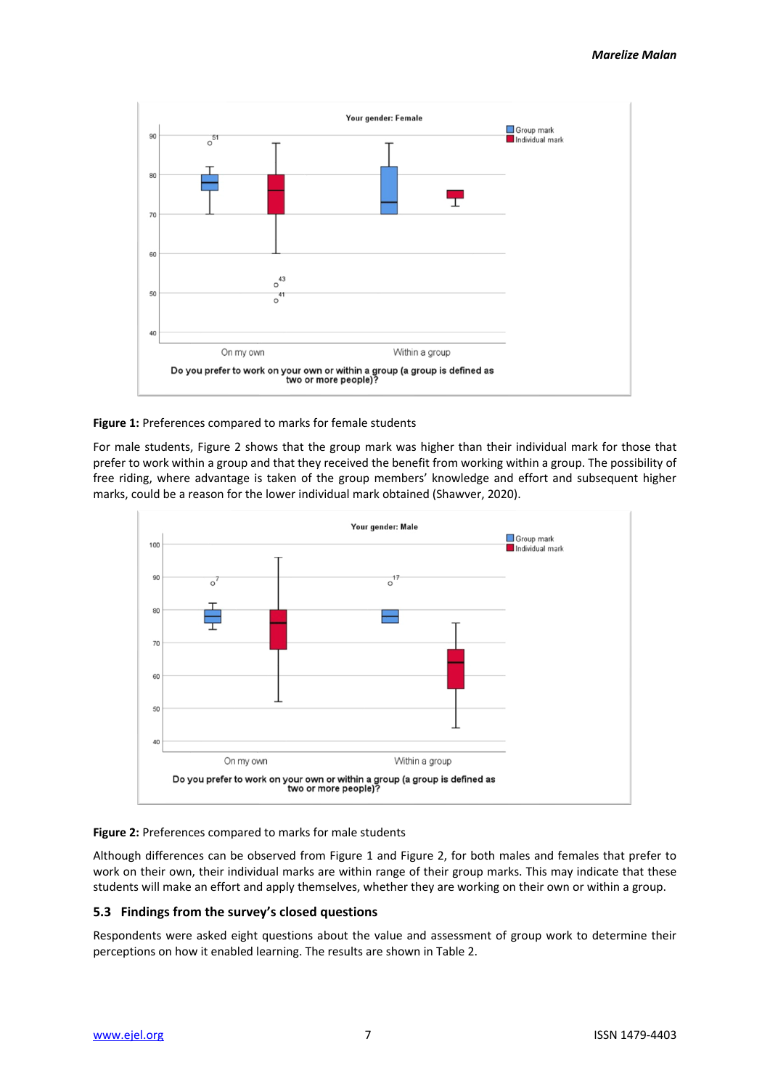

#### **Figure 1:** Preferences compared to marks for female students

For male students, Figure 2 shows that the group mark was higher than their individual mark for those that prefer to work within a group and that they received the benefit from working within a group. The possibility of free riding, where advantage is taken of the group members' knowledge and effort and subsequent higher marks, could be a reason for the lower individual mark obtained (Shawver, 2020).



### **Figure 2:** Preferences compared to marks for male students

Although differences can be observed from Figure 1 and Figure 2, for both males and females that prefer to work on their own, their individual marks are within range of their group marks. This may indicate that these students will make an effort and apply themselves, whether they are working on their own or within a group.

### **5.3 Findings from the survey's closed questions**

Respondents were asked eight questions about the value and assessment of group work to determine their perceptions on how it enabled learning. The results are shown in Table 2.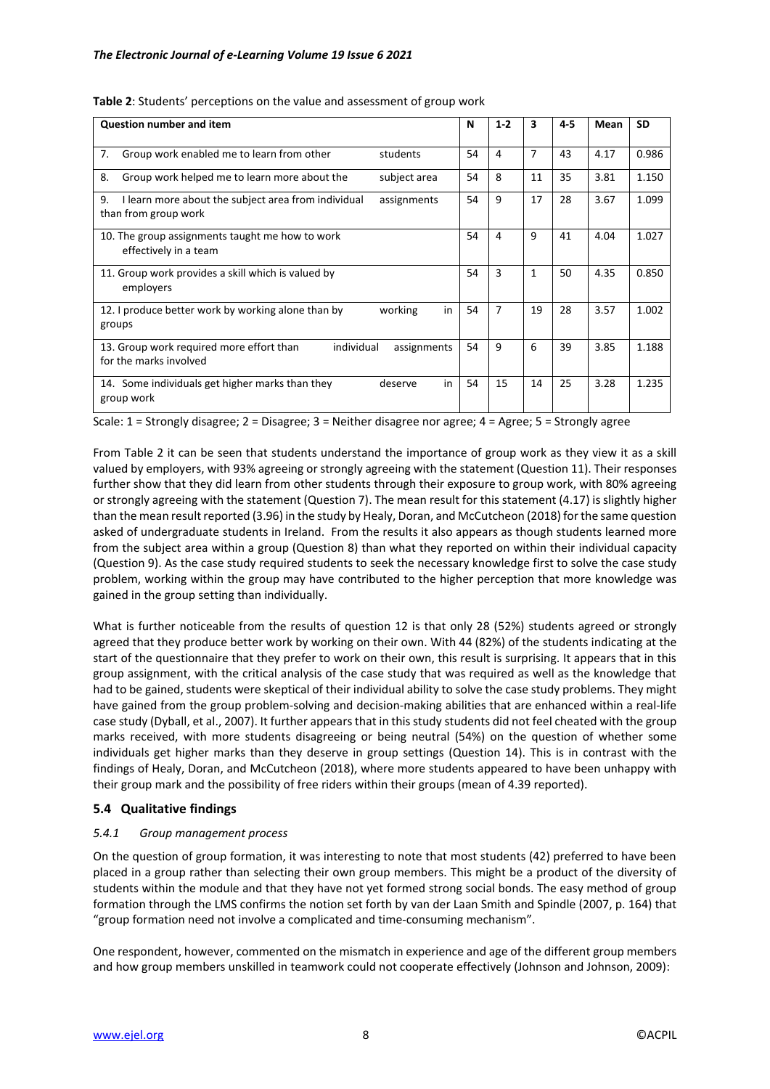| <b>Question number and item</b>                                                                  | N  | $1 - 2$        | 3  | $4 - 5$ | Mean | SD.   |  |  |
|--------------------------------------------------------------------------------------------------|----|----------------|----|---------|------|-------|--|--|
| 7.<br>Group work enabled me to learn from other<br>students                                      | 54 | 4              | 7  | 43      | 4.17 | 0.986 |  |  |
| 8.<br>Group work helped me to learn more about the<br>subject area                               | 54 | 8              | 11 | 35      | 3.81 | 1.150 |  |  |
| 9.<br>I learn more about the subject area from individual<br>assignments<br>than from group work | 54 | 9              | 17 | 28      | 3.67 | 1.099 |  |  |
| 10. The group assignments taught me how to work<br>effectively in a team                         | 54 | 4              | 9  | 41      | 4.04 | 1.027 |  |  |
| 11. Group work provides a skill which is valued by<br>employers                                  | 54 | 3              | 1  | 50      | 4.35 | 0.850 |  |  |
| 12. I produce better work by working alone than by<br>working<br>in<br>groups                    | 54 | $\overline{7}$ | 19 | 28      | 3.57 | 1.002 |  |  |
| 13. Group work required more effort than<br>individual<br>assignments<br>for the marks involved  | 54 | 9              | 6  | 39      | 3.85 | 1.188 |  |  |
| 14. Some individuals get higher marks than they<br>in<br>deserve<br>group work                   | 54 | 15             | 14 | 25      | 3.28 | 1.235 |  |  |

|  |  |  | Table 2: Students' perceptions on the value and assessment of group work |  |
|--|--|--|--------------------------------------------------------------------------|--|
|--|--|--|--------------------------------------------------------------------------|--|

Scale: 1 = Strongly disagree; 2 = Disagree; 3 = Neither disagree nor agree; 4 = Agree; 5 = Strongly agree

From Table 2 it can be seen that students understand the importance of group work as they view it as a skill valued by employers, with 93% agreeing or strongly agreeing with the statement (Question 11). Their responses further show that they did learn from other students through their exposure to group work, with 80% agreeing or strongly agreeing with the statement (Question 7). The mean result for this statement (4.17) is slightly higher than the mean result reported (3.96) in the study by Healy, Doran, and McCutcheon (2018) for the same question asked of undergraduate students in Ireland. From the results it also appears as though students learned more from the subject area within a group (Question 8) than what they reported on within their individual capacity (Question 9). As the case study required students to seek the necessary knowledge first to solve the case study problem, working within the group may have contributed to the higher perception that more knowledge was gained in the group setting than individually.

What is further noticeable from the results of question 12 is that only 28 (52%) students agreed or strongly agreed that they produce better work by working on their own. With 44 (82%) of the students indicating at the start of the questionnaire that they prefer to work on their own, this result is surprising. It appears that in this group assignment, with the critical analysis of the case study that was required as well as the knowledge that had to be gained, students were skeptical of their individual ability to solve the case study problems. They might have gained from the group problem-solving and decision-making abilities that are enhanced within a real-life case study (Dyball, et al., 2007). It further appears that in this study students did not feel cheated with the group marks received, with more students disagreeing or being neutral (54%) on the question of whether some individuals get higher marks than they deserve in group settings (Question 14). This is in contrast with the findings of Healy, Doran, and McCutcheon (2018), where more students appeared to have been unhappy with their group mark and the possibility of free riders within their groups (mean of 4.39 reported).

### **5.4 Qualitative findings**

#### *5.4.1 Group management process*

On the question of group formation, it was interesting to note that most students (42) preferred to have been placed in a group rather than selecting their own group members. This might be a product of the diversity of students within the module and that they have not yet formed strong social bonds. The easy method of group formation through the LMS confirms the notion set forth by van der Laan Smith and Spindle (2007, p. 164) that "group formation need not involve a complicated and time-consuming mechanism".

One respondent, however, commented on the mismatch in experience and age of the different group members and how group members unskilled in teamwork could not cooperate effectively (Johnson and Johnson, 2009):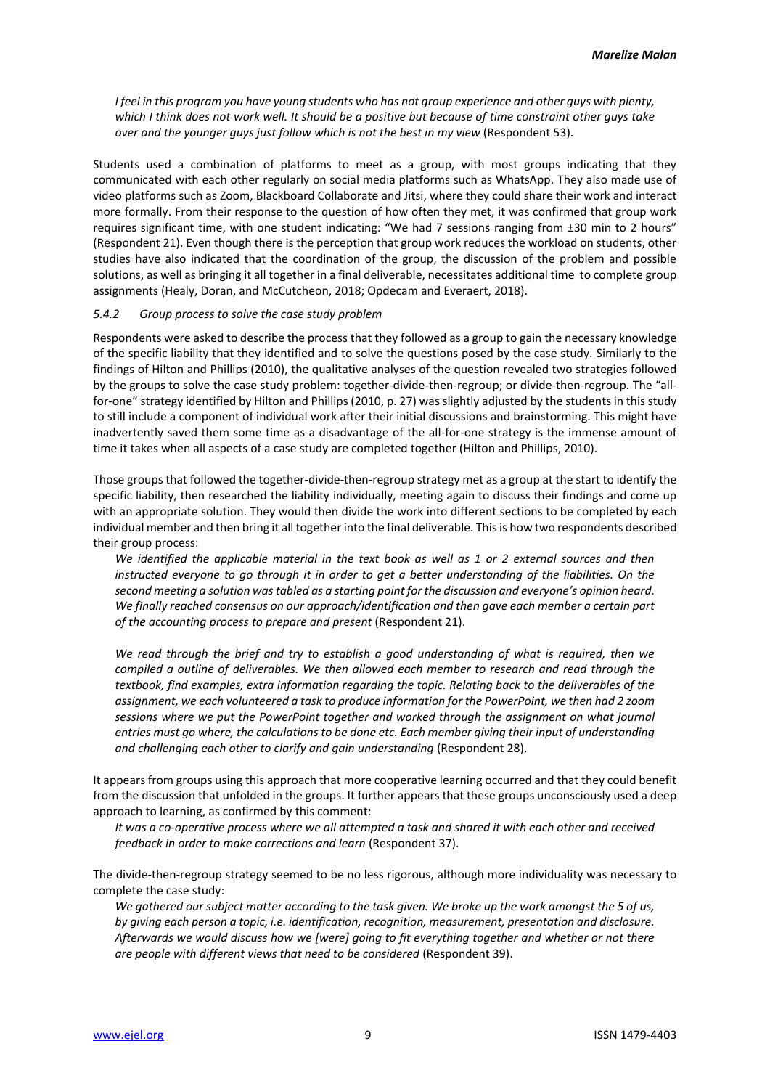*I feel in this program you have young students who has not group experience and other guys with plenty, which I think does not work well. It should be a positive but because of time constraint other guys take over and the younger guys just follow which is not the best in my view (Respondent 53).* 

Students used a combination of platforms to meet as a group, with most groups indicating that they communicated with each other regularly on social media platforms such as WhatsApp. They also made use of video platforms such as Zoom, Blackboard Collaborate and Jitsi, where they could share their work and interact more formally. From their response to the question of how often they met, it was confirmed that group work requires significant time, with one student indicating: "We had 7 sessions ranging from ±30 min to 2 hours" (Respondent 21). Even though there is the perception that group work reduces the workload on students, other studies have also indicated that the coordination of the group, the discussion of the problem and possible solutions, as well as bringing it all together in a final deliverable, necessitates additional time to complete group assignments (Healy, Doran, and McCutcheon, 2018; Opdecam and Everaert, 2018).

#### *5.4.2 Group process to solve the case study problem*

Respondents were asked to describe the process that they followed as a group to gain the necessary knowledge of the specific liability that they identified and to solve the questions posed by the case study. Similarly to the findings of Hilton and Phillips (2010), the qualitative analyses of the question revealed two strategies followed by the groups to solve the case study problem: together-divide-then-regroup; or divide-then-regroup. The "allfor-one" strategy identified by Hilton and Phillips (2010, p. 27) was slightly adjusted by the students in this study to still include a component of individual work after their initial discussions and brainstorming. This might have inadvertently saved them some time as a disadvantage of the all-for-one strategy is the immense amount of time it takes when all aspects of a case study are completed together (Hilton and Phillips, 2010).

Those groups that followed the together-divide-then-regroup strategy met as a group at the start to identify the specific liability, then researched the liability individually, meeting again to discuss their findings and come up with an appropriate solution. They would then divide the work into different sections to be completed by each individual member and then bring it all together into the final deliverable. This is how two respondents described their group process:

*We identified the applicable material in the text book as well as 1 or 2 external sources and then*  instructed everyone to go through it in order to get a better understanding of the liabilities. On the *second meeting a solution was tabled as a starting point for the discussion and everyone's opinion heard. We finally reached consensus on our approach/identification and then gave each member a certain part of the accounting process to prepare and present* (Respondent 21).

*We read through the brief and try to establish a good understanding of what is required, then we compiled a outline of deliverables. We then allowed each member to research and read through the textbook, find examples, extra information regarding the topic. Relating back to the deliverables of the assignment, we each volunteered a task to produce information for the PowerPoint, we then had 2 zoom sessions where we put the PowerPoint together and worked through the assignment on what journal entries must go where, the calculations to be done etc. Each member giving their input of understanding and challenging each other to clarify and gain understanding* (Respondent 28).

It appears from groups using this approach that more cooperative learning occurred and that they could benefit from the discussion that unfolded in the groups. It further appears that these groups unconsciously used a deep approach to learning, as confirmed by this comment:

*It was a co-operative process where we all attempted a task and shared it with each other and received feedback in order to make corrections and learn* (Respondent 37).

The divide-then-regroup strategy seemed to be no less rigorous, although more individuality was necessary to complete the case study:

*We gathered our subject matter according to the task given. We broke up the work amongst the 5 of us, by giving each person a topic, i.e. identification, recognition, measurement, presentation and disclosure. Afterwards we would discuss how we [were] going to fit everything together and whether or not there are people with different views that need to be considered* (Respondent 39).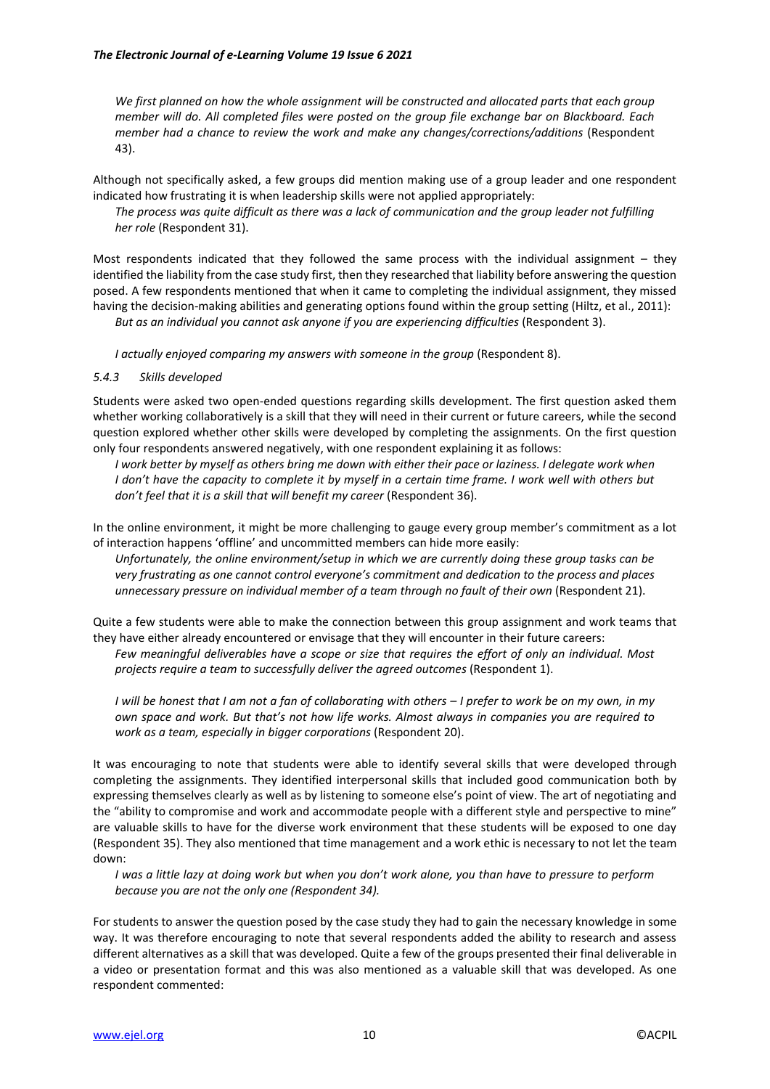*We first planned on how the whole assignment will be constructed and allocated parts that each group member will do. All completed files were posted on the group file exchange bar on Blackboard. Each member had a chance to review the work and make any changes/corrections/additions* (Respondent 43).

Although not specifically asked, a few groups did mention making use of a group leader and one respondent indicated how frustrating it is when leadership skills were not applied appropriately:

*The process was quite difficult as there was a lack of communication and the group leader not fulfilling her role* (Respondent 31).

Most respondents indicated that they followed the same process with the individual assignment – they identified the liability from the case study first, then they researched that liability before answering the question posed. A few respondents mentioned that when it came to completing the individual assignment, they missed having the decision-making abilities and generating options found within the group setting (Hiltz, et al., 2011): But as an individual you cannot ask anyone if you are experiencing difficulties (Respondent 3).

*I actually enjoyed comparing my answers with someone in the group* (Respondent 8).

#### *5.4.3 Skills developed*

Students were asked two open-ended questions regarding skills development. The first question asked them whether working collaboratively is a skill that they will need in their current or future careers, while the second question explored whether other skills were developed by completing the assignments. On the first question only four respondents answered negatively, with one respondent explaining it as follows:

*I work better by myself as others bring me down with either their pace or laziness. I delegate work when I don't have the capacity to complete it by myself in a certain time frame. I work well with others but* don't feel that it is a skill that will benefit my career (Respondent 36).

In the online environment, it might be more challenging to gauge every group member's commitment as a lot of interaction happens 'offline' and uncommitted members can hide more easily:

*Unfortunately, the online environment/setup in which we are currently doing these group tasks can be very frustrating as one cannot control everyone's commitment and dedication to the process and places*  unnecessary pressure on individual member of a team through no fault of their own (Respondent 21).

Quite a few students were able to make the connection between this group assignment and work teams that they have either already encountered or envisage that they will encounter in their future careers:

*Few meaningful deliverables have a scope or size that requires the effort of only an individual. Most projects require a team to successfully deliver the agreed outcomes* (Respondent 1).

*I* will be honest that *I* am not a fan of collaborating with others – *I* prefer to work be on my own, in my *own space and work. But that's not how life works. Almost always in companies you are required to work as a team, especially in bigger corporations* (Respondent 20).

It was encouraging to note that students were able to identify several skills that were developed through completing the assignments. They identified interpersonal skills that included good communication both by expressing themselves clearly as well as by listening to someone else's point of view. The art of negotiating and the "ability to compromise and work and accommodate people with a different style and perspective to mine" are valuable skills to have for the diverse work environment that these students will be exposed to one day (Respondent 35). They also mentioned that time management and a work ethic is necessary to not let the team down:

*I was a little lazy at doing work but when you don't work alone, you than have to pressure to perform because you are not the only one (Respondent 34).*

For students to answer the question posed by the case study they had to gain the necessary knowledge in some way. It was therefore encouraging to note that several respondents added the ability to research and assess different alternatives as a skill that was developed. Quite a few of the groups presented their final deliverable in a video or presentation format and this was also mentioned as a valuable skill that was developed. As one respondent commented: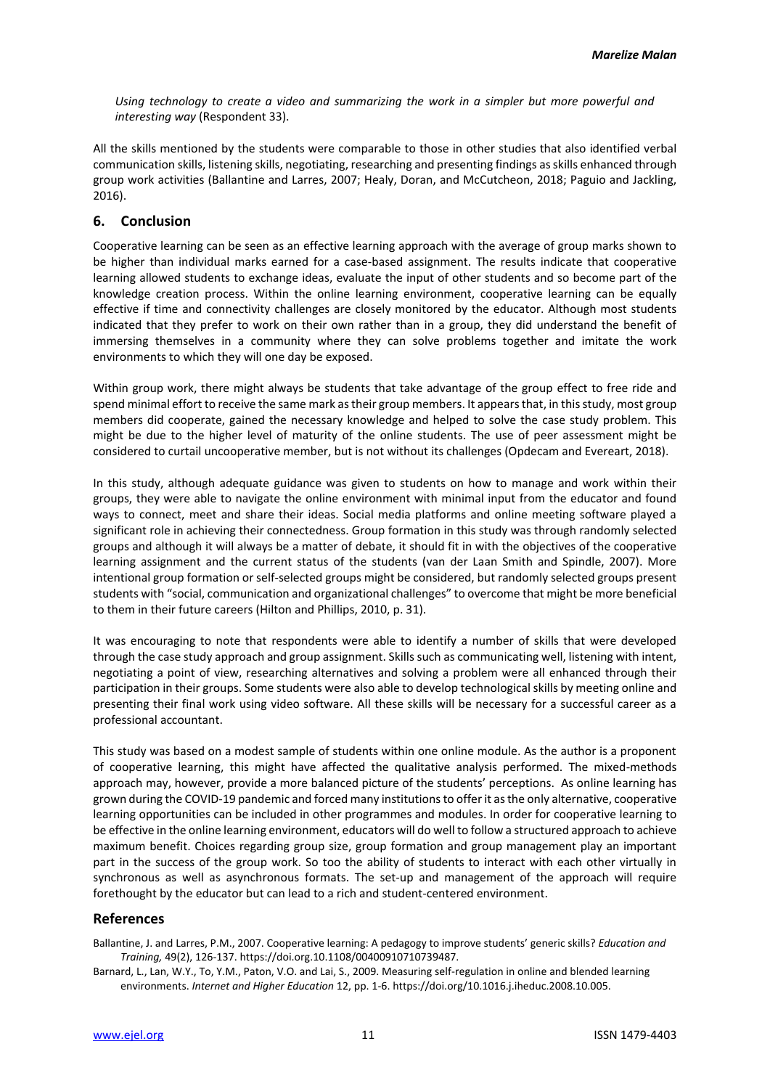*Using technology to create a video and summarizing the work in a simpler but more powerful and interesting way* (Respondent 33).

All the skills mentioned by the students were comparable to those in other studies that also identified verbal communication skills, listening skills, negotiating, researching and presenting findings as skills enhanced through group work activities (Ballantine and Larres, 2007; Healy, Doran, and McCutcheon, 2018; Paguio and Jackling, 2016).

#### **6. Conclusion**

Cooperative learning can be seen as an effective learning approach with the average of group marks shown to be higher than individual marks earned for a case-based assignment. The results indicate that cooperative learning allowed students to exchange ideas, evaluate the input of other students and so become part of the knowledge creation process. Within the online learning environment, cooperative learning can be equally effective if time and connectivity challenges are closely monitored by the educator. Although most students indicated that they prefer to work on their own rather than in a group, they did understand the benefit of immersing themselves in a community where they can solve problems together and imitate the work environments to which they will one day be exposed.

Within group work, there might always be students that take advantage of the group effect to free ride and spend minimal effort to receive the same mark as their group members. It appears that, in this study, most group members did cooperate, gained the necessary knowledge and helped to solve the case study problem. This might be due to the higher level of maturity of the online students. The use of peer assessment might be considered to curtail uncooperative member, but is not without its challenges (Opdecam and Evereart, 2018).

In this study, although adequate guidance was given to students on how to manage and work within their groups, they were able to navigate the online environment with minimal input from the educator and found ways to connect, meet and share their ideas. Social media platforms and online meeting software played a significant role in achieving their connectedness. Group formation in this study was through randomly selected groups and although it will always be a matter of debate, it should fit in with the objectives of the cooperative learning assignment and the current status of the students (van der Laan Smith and Spindle, 2007). More intentional group formation or self-selected groups might be considered, but randomly selected groups present students with "social, communication and organizational challenges" to overcome that might be more beneficial to them in their future careers (Hilton and Phillips, 2010, p. 31).

It was encouraging to note that respondents were able to identify a number of skills that were developed through the case study approach and group assignment. Skills such as communicating well, listening with intent, negotiating a point of view, researching alternatives and solving a problem were all enhanced through their participation in their groups. Some students were also able to develop technological skills by meeting online and presenting their final work using video software. All these skills will be necessary for a successful career as a professional accountant.

This study was based on a modest sample of students within one online module. As the author is a proponent of cooperative learning, this might have affected the qualitative analysis performed. The mixed-methods approach may, however, provide a more balanced picture of the students' perceptions. As online learning has grown during the COVID-19 pandemic and forced many institutions to offer it as the only alternative, cooperative learning opportunities can be included in other programmes and modules. In order for cooperative learning to be effective in the online learning environment, educators will do well to follow a structured approach to achieve maximum benefit. Choices regarding group size, group formation and group management play an important part in the success of the group work. So too the ability of students to interact with each other virtually in synchronous as well as asynchronous formats. The set-up and management of the approach will require forethought by the educator but can lead to a rich and student-centered environment.

### **References**

Ballantine, J. and Larres, P.M., 2007. Cooperative learning: A pedagogy to improve students' generic skills? *Education and Training,* 49(2), 126-137. https://doi.org.10.1108/00400910710739487.

Barnard, L., Lan, W.Y., To, Y.M., Paton, V.O. and Lai, S., 2009. Measuring self-regulation in online and blended learning environments. *Internet and Higher Education* 12, pp. 1-6. https://doi.org/10.1016.j.iheduc.2008.10.005.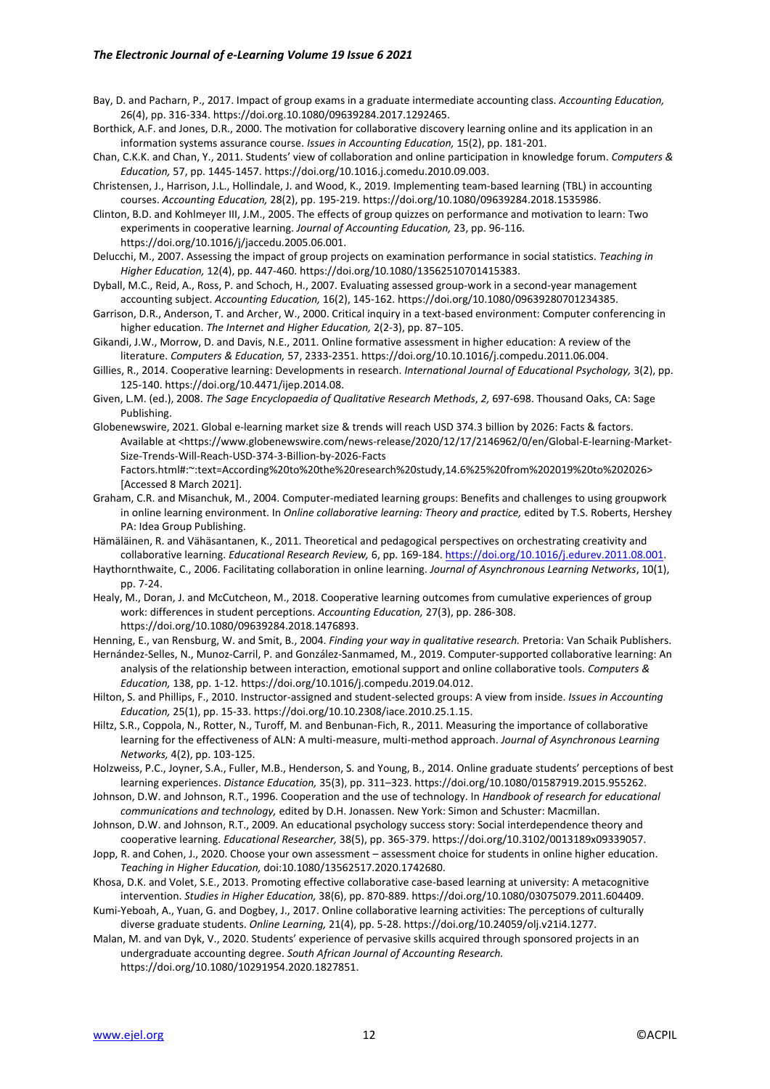#### *The Electronic Journal of e-Learning Volume 19 Issue 6 2021*

Bay, D. and Pacharn, P., 2017. Impact of group exams in a graduate intermediate accounting class. *Accounting Education,*  26(4), pp. 316-334. https://doi.org.10.1080/09639284.2017.1292465.

- Borthick, A.F. and Jones, D.R., 2000. The motivation for collaborative discovery learning online and its application in an information systems assurance course. *Issues in Accounting Education,* 15(2), pp. 181-201.
- Chan, C.K.K. and Chan, Y., 2011. Students' view of collaboration and online participation in knowledge forum. *Computers & Education,* 57, pp. 1445-1457. https://doi.org/10.1016.j.comedu.2010.09.003.
- Christensen, J., Harrison, J.L., Hollindale, J. and Wood, K., 2019. Implementing team-based learning (TBL) in accounting courses. *Accounting Education,* 28(2), pp. 195-219. https://doi.org/10.1080/09639284.2018.1535986.
- Clinton, B.D. and Kohlmeyer III, J.M., 2005. The effects of group quizzes on performance and motivation to learn: Two experiments in cooperative learning. *Journal of Accounting Education,* 23, pp. 96-116. https://doi.org/10.1016/j/jaccedu.2005.06.001.
- Delucchi, M., 2007. Assessing the impact of group projects on examination performance in social statistics. *Teaching in Higher Education,* 12(4), pp. 447-460. https://doi.org/10.1080/13562510701415383.
- Dyball, M.C., Reid, A., Ross, P. and Schoch, H., 2007. Evaluating assessed group-work in a second-year management accounting subject. *Accounting Education,* 16(2), 145-162. https://doi.org/10.1080/09639280701234385.
- Garrison, D.R., Anderson, T. and Archer, W., 2000. Critical inquiry in a text-based environment: Computer conferencing in higher education. *The Internet and Higher Education,* 2(2-3), pp. 87−105.
- Gikandi, J.W., Morrow, D. and Davis, N.E., 2011. Online formative assessment in higher education: A review of the literature. *Computers & Education,* 57, 2333-2351. https://doi.org/10.10.1016/j.compedu.2011.06.004.
- Gillies, R., 2014. Cooperative learning: Developments in research. *International Journal of Educational Psychology,* 3(2), pp. 125-140. https://doi.org/10.4471/ijep.2014.08.
- Given, L.M. (ed.), 2008. *The Sage Encyclopaedia of Qualitative Research Methods*, *2,* 697-698. Thousand Oaks, CA: Sage Publishing.
- Globenewswire, 2021. Global e-learning market size & trends will reach USD 374.3 billion by 2026: Facts & factors. Available at <https://www.globenewswire.com/news-release/2020/12/17/2146962/0/en/Global-E-learning-Market-Size-Trends-Will-Reach-USD-374-3-Billion-by-2026-Facts
	- Factors.html#:~:text=According%20to%20the%20research%20study,14.6%25%20from%202019%20to%202026> [Accessed 8 March 2021].
- Graham, C.R. and Misanchuk, M., 2004. Computer-mediated learning groups: Benefits and challenges to using groupwork in online learning environment. In *Online collaborative learning: Theory and practice,* edited by T.S. Roberts, Hershey PA: Idea Group Publishing.
- Hämäläinen, R. and Vähäsantanen, K., 2011. Theoretical and pedagogical perspectives on orchestrating creativity and collaborative learning. *Educational Research Review,* 6, pp. 169-184[. https://doi.org/10.1016/j.edurev.2011.08.001.](https://doi.org/10.1016/j.edurev.2011.08.001)
- Haythornthwaite, C., 2006. Facilitating collaboration in online learning. *Journal of Asynchronous Learning Networks*, 10(1), pp. 7-24.
- Healy, M., Doran, J. and McCutcheon, M., 2018. Cooperative learning outcomes from cumulative experiences of group work: differences in student perceptions. *Accounting Education,* 27(3), pp. 286-308. https://doi.org/10.1080/09639284.2018.1476893.
- Henning, E., van Rensburg, W. and Smit, B., 2004. *Finding your way in qualitative research.* Pretoria: Van Schaik Publishers.
- Hernández-Selles, N., Munoz-Carril, P. and González-Sanmamed, M., 2019. Computer-supported collaborative learning: An analysis of the relationship between interaction, emotional support and online collaborative tools. *Computers & Education,* 138, pp. 1-12. https://doi.org/10.1016/j.compedu.2019.04.012.
- Hilton, S. and Phillips, F., 2010. Instructor-assigned and student-selected groups: A view from inside. *Issues in Accounting Education,* 25(1), pp. 15-33. https://doi.org/10.10.2308/iace.2010.25.1.15.
- Hiltz, S.R., Coppola, N., Rotter, N., Turoff, M. and Benbunan-Fich, R., 2011. Measuring the importance of collaborative learning for the effectiveness of ALN: A multi-measure, multi-method approach. *Journal of Asynchronous Learning Networks,* 4(2), pp. 103-125.
- Holzweiss, P.C., Joyner, S.A., Fuller, M.B., Henderson, S. and Young, B., 2014. Online graduate students' perceptions of best learning experiences. *Distance Education,* 35(3), pp. 311–323. https://doi.org/10.1080/01587919.2015.955262.
- Johnson, D.W. and Johnson, R.T., 1996. Cooperation and the use of technology. In *Handbook of research for educational communications and technology,* edited by D.H. Jonassen. New York: Simon and Schuster: Macmillan.
- Johnson, D.W. and Johnson, R.T., 2009. An educational psychology success story: Social interdependence theory and cooperative learning. *Educational Researcher,* 38(5), pp. 365-379. https://doi.org/10.3102/0013189x09339057.
- Jopp, R. and Cohen, J., 2020. Choose your own assessment assessment choice for students in online higher education. *Teaching in Higher Education,* doi:10.1080/13562517.2020.1742680.
- Khosa, D.K. and Volet, S.E., 2013. Promoting effective collaborative case-based learning at university: A metacognitive intervention. *Studies in Higher Education,* 38(6), pp. 870-889. https://doi.org/10.1080/03075079.2011.604409.
- Kumi-Yeboah, A., Yuan, G. and Dogbey, J., 2017. Online collaborative learning activities: The perceptions of culturally diverse graduate students. *Online Learning,* 21(4), pp. 5-28. https://doi.org/10.24059/olj.v21i4.1277.
- Malan, M. and van Dyk, V., 2020. Students' experience of pervasive skills acquired through sponsored projects in an undergraduate accounting degree. *South African Journal of Accounting Research.*  https://doi.org/10.1080/10291954.2020.1827851.